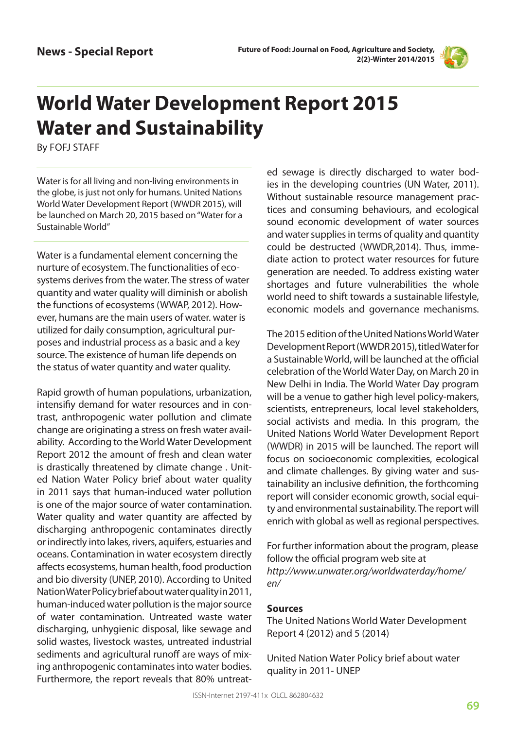

## **World Water Development Report 2015 Water and Sustainability**

By FOFJ STAFF

Water is for all living and non-living environments in the globe, is just not only for humans. United Nations World Water Development Report (WWDR 2015), will be launched on March 20, 2015 based on "Water for a Sustainable World"

Water is a fundamental element concerning the nurture of ecosystem. The functionalities of ecosystems derives from the water. The stress of water quantity and water quality will diminish or abolish the functions of ecosystems (WWAP, 2012). However, humans are the main users of water. water is utilized for daily consumption, agricultural purposes and industrial process as a basic and a key source. The existence of human life depends on the status of water quantity and water quality.

Rapid growth of human populations, urbanization, intensifiy demand for water resources and in contrast, anthropogenic water pollution and climate change are originating a stress on fresh water availability. According to the World Water Development Report 2012 the amount of fresh and clean water is drastically threatened by climate change . United Nation Water Policy brief about water quality in 2011 says that human-induced water pollution is one of the major source of water contamination. Water quality and water quantity are affected by discharging anthropogenic contaminates directly or indirectly into lakes, rivers, aquifers, estuaries and oceans. Contamination in water ecosystem directly affects ecosystems, human health, food production and bio diversity (UNEP, 2010). According to United Nation Water Policy brief about water quality in 2011, human-induced water pollution is the major source of water contamination. Untreated waste water discharging, unhygienic disposal, like sewage and solid wastes, livestock wastes, untreated industrial sediments and agricultural runoff are ways of mixing anthropogenic contaminates into water bodies. Furthermore, the report reveals that 80% untreated sewage is directly discharged to water bodies in the developing countries (UN Water, 2011). Without sustainable resource management practices and consuming behaviours, and ecological sound economic development of water sources and water supplies in terms of quality and quantity could be destructed (WWDR,2014). Thus, immediate action to protect water resources for future generation are needed. To address existing water shortages and future vulnerabilities the whole world need to shift towards a sustainable lifestyle, economic models and governance mechanisms.

The 2015 edition of the United Nations World Water Development Report (WWDR 2015), titled Water for a Sustainable World, will be launched at the official celebration of the World Water Day, on March 20 in New Delhi in India. The World Water Day program will be a venue to gather high level policy-makers, scientists, entrepreneurs, local level stakeholders, social activists and media. In this program, the United Nations World Water Development Report (WWDR) in 2015 will be launched. The report will focus on socioeconomic complexities, ecological and climate challenges. By giving water and sustainability an inclusive definition, the forthcoming report will consider economic growth, social equity and environmental sustainability. The report will enrich with global as well as regional perspectives.

For further information about the program, please follow the official program web site at *http://www.unwater.org/worldwaterday/home/ en/*

## **Sources**

The United Nations World Water Development Report 4 (2012) and 5 (2014)

United Nation Water Policy brief about water quality in 2011- UNEP